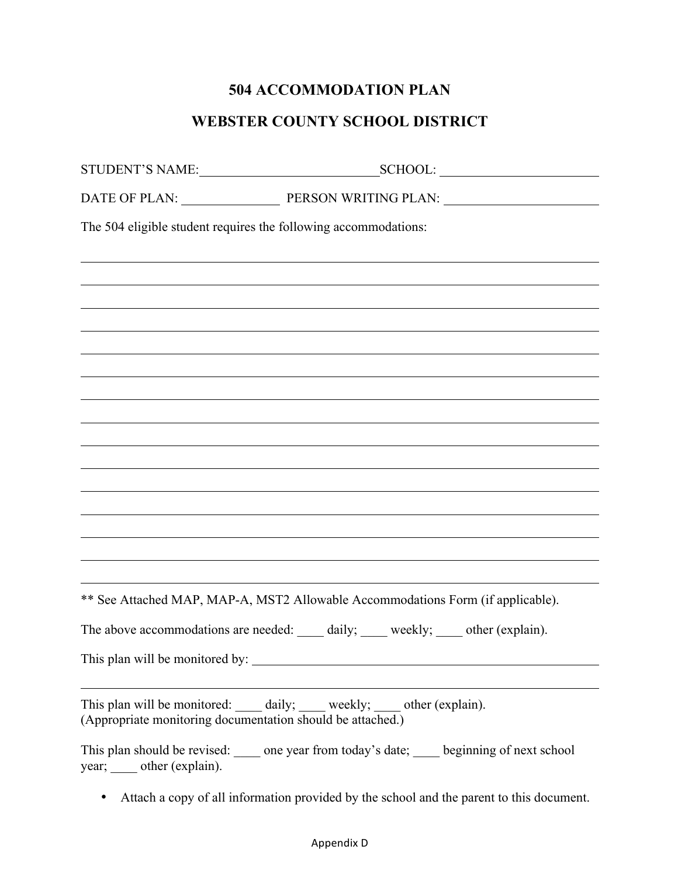## **504 ACCOMMODATION PLAN**

## **WEBSTER COUNTY SCHOOL DISTRICT**

|                                                            | STUDENT'S NAME: SCHOOL: SCHOOL:                                                                                                                                                                                                |  |
|------------------------------------------------------------|--------------------------------------------------------------------------------------------------------------------------------------------------------------------------------------------------------------------------------|--|
|                                                            | DATE OF PLAN: PERSON WRITING PLAN: PLANIFIC PLANIFIC PLANIFIC PLANIFIC PLANIFIC PLANIFIC PLANIFIC PLANIFIC PLANIFIC PLANIFIC PLANIFIC PLANIFIC PLANIFIC PLANIFIC PLANIFIC PLANIFIC PLANIFIC PLANIFIC PLANIFIC PLANIFIC PLANIFI |  |
|                                                            | The 504 eligible student requires the following accommodations:                                                                                                                                                                |  |
|                                                            |                                                                                                                                                                                                                                |  |
|                                                            |                                                                                                                                                                                                                                |  |
|                                                            |                                                                                                                                                                                                                                |  |
|                                                            |                                                                                                                                                                                                                                |  |
|                                                            |                                                                                                                                                                                                                                |  |
|                                                            |                                                                                                                                                                                                                                |  |
|                                                            |                                                                                                                                                                                                                                |  |
|                                                            |                                                                                                                                                                                                                                |  |
|                                                            | <u> 1989 - Johann Stoff, amerikansk politiker (d. 1989)</u>                                                                                                                                                                    |  |
|                                                            |                                                                                                                                                                                                                                |  |
|                                                            |                                                                                                                                                                                                                                |  |
|                                                            |                                                                                                                                                                                                                                |  |
|                                                            | ** See Attached MAP, MAP-A, MST2 Allowable Accommodations Form (if applicable).                                                                                                                                                |  |
|                                                            | The above accommodations are needed: _____ daily; _____ weekly; ____ other (explain).                                                                                                                                          |  |
| This plan will be monitored by:                            |                                                                                                                                                                                                                                |  |
| (Appropriate monitoring documentation should be attached.) | This plan will be monitored: ______ daily; ______ weekly; _____ other (explain).                                                                                                                                               |  |
| year; _____ other (explain).                               | This plan should be revised: ______ one year from today's date; _____ beginning of next school                                                                                                                                 |  |

• Attach a copy of all information provided by the school and the parent to this document.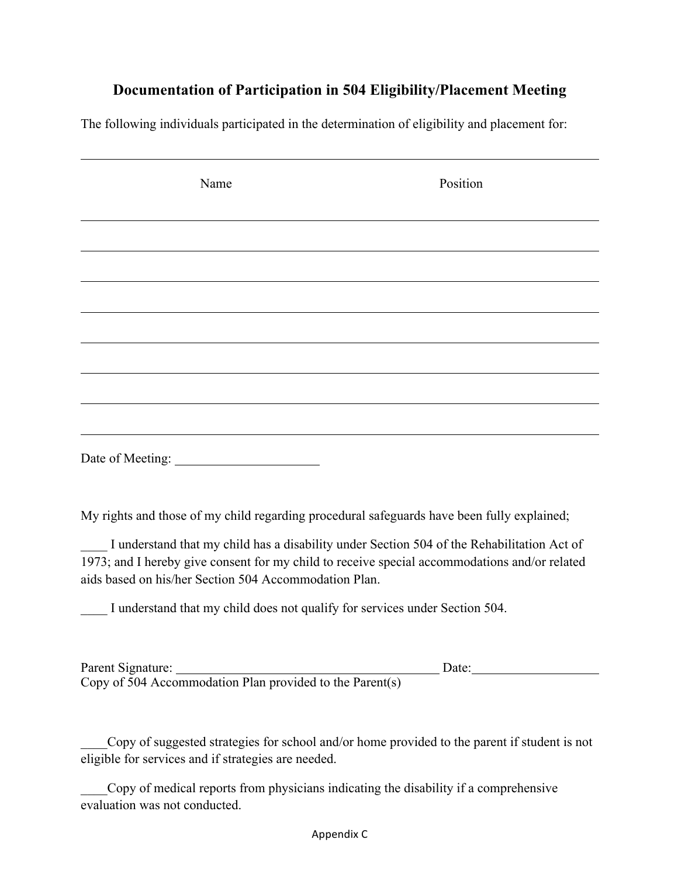## **Documentation of Participation in 504 Eligibility/Placement Meeting**

The following individuals participated in the determination of eligibility and placement for:

| Name                                                                                                                                                   | Position                                                                                   |
|--------------------------------------------------------------------------------------------------------------------------------------------------------|--------------------------------------------------------------------------------------------|
|                                                                                                                                                        |                                                                                            |
|                                                                                                                                                        |                                                                                            |
|                                                                                                                                                        |                                                                                            |
|                                                                                                                                                        |                                                                                            |
|                                                                                                                                                        |                                                                                            |
|                                                                                                                                                        |                                                                                            |
|                                                                                                                                                        |                                                                                            |
| Date of Meeting:                                                                                                                                       |                                                                                            |
| My rights and those of my child regarding procedural safeguards have been fully explained;                                                             |                                                                                            |
| 1973; and I hereby give consent for my child to receive special accommodations and/or related<br>aids based on his/her Section 504 Accommodation Plan. | I understand that my child has a disability under Section 504 of the Rehabilitation Act of |
| I understand that my child does not qualify for services under Section 504.                                                                            |                                                                                            |
|                                                                                                                                                        |                                                                                            |

Parent Signature: Date: Copy of 504 Accommodation Plan provided to the Parent(s)

\_\_\_\_Copy of suggested strategies for school and/or home provided to the parent if student is not eligible for services and if strategies are needed.

\_\_\_\_Copy of medical reports from physicians indicating the disability if a comprehensive evaluation was not conducted.